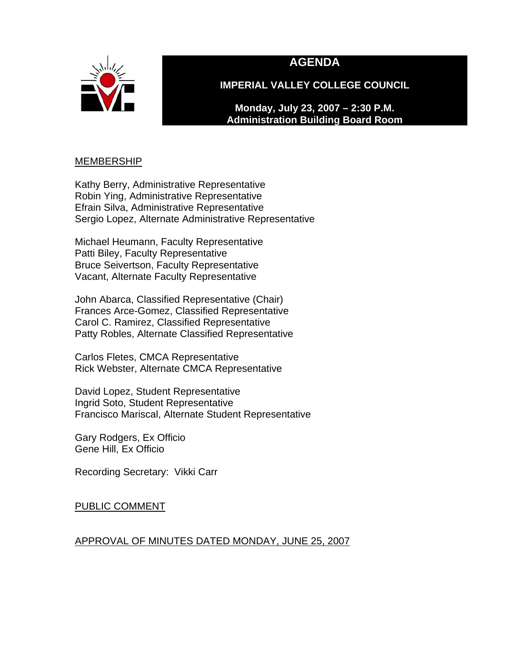

# **AGENDA**

**IMPERIAL VALLEY COLLEGE COUNCIL** 

**Monday, July 23, 2007 – 2:30 P.M. Administration Building Board Room** 

### MEMBERSHIP

Kathy Berry, Administrative Representative Robin Ying, Administrative Representative Efrain Silva, Administrative Representative Sergio Lopez, Alternate Administrative Representative

Michael Heumann, Faculty Representative Patti Biley, Faculty Representative Bruce Seivertson, Faculty Representative Vacant, Alternate Faculty Representative

John Abarca, Classified Representative (Chair) Frances Arce-Gomez, Classified Representative Carol C. Ramirez, Classified Representative Patty Robles, Alternate Classified Representative

Carlos Fletes, CMCA Representative Rick Webster, Alternate CMCA Representative

David Lopez, Student Representative Ingrid Soto, Student Representative Francisco Mariscal, Alternate Student Representative

Gary Rodgers, Ex Officio Gene Hill, Ex Officio

Recording Secretary: Vikki Carr

PUBLIC COMMENT

#### APPROVAL OF MINUTES DATED MONDAY, JUNE 25, 2007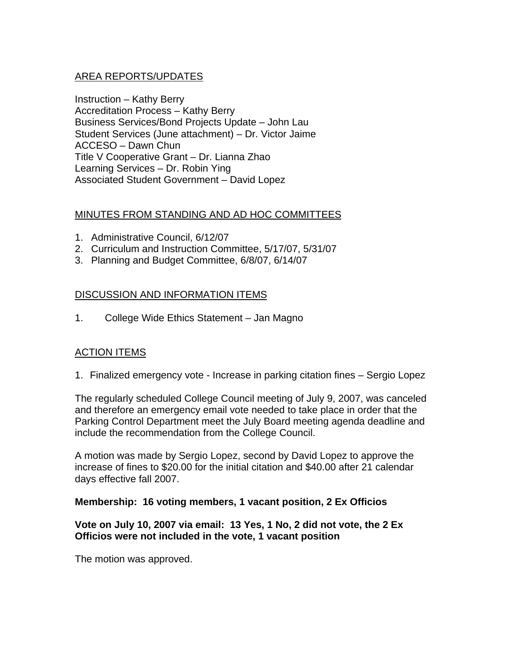### AREA REPORTS/UPDATES

Instruction – Kathy Berry Accreditation Process – Kathy Berry Business Services/Bond Projects Update – John Lau Student Services (June attachment) – Dr. Victor Jaime ACCESO – Dawn Chun Title V Cooperative Grant – Dr. Lianna Zhao Learning Services – Dr. Robin Ying Associated Student Government – David Lopez

#### MINUTES FROM STANDING AND AD HOC COMMITTEES

- 1. Administrative Council, 6/12/07
- 2. Curriculum and Instruction Committee, 5/17/07, 5/31/07
- 3. Planning and Budget Committee, 6/8/07, 6/14/07

### DISCUSSION AND INFORMATION ITEMS

1. College Wide Ethics Statement – Jan Magno

# ACTION ITEMS

1. Finalized emergency vote - Increase in parking citation fines – Sergio Lopez

The regularly scheduled College Council meeting of July 9, 2007, was canceled and therefore an emergency email vote needed to take place in order that the Parking Control Department meet the July Board meeting agenda deadline and include the recommendation from the College Council.

A motion was made by Sergio Lopez, second by David Lopez to approve the increase of fines to \$20.00 for the initial citation and \$40.00 after 21 calendar days effective fall 2007.

#### **Membership: 16 voting members, 1 vacant position, 2 Ex Officios**

#### **Vote on July 10, 2007 via email: 13 Yes, 1 No, 2 did not vote, the 2 Ex Officios were not included in the vote, 1 vacant position**

The motion was approved.